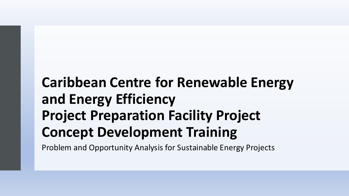### **Caribbean Centre for Renewable Energy and Energy Efficiency Project Preparation Facility Project Concept Development Training**

Problem and Opportunity Analysis for Sustainable Energy Projects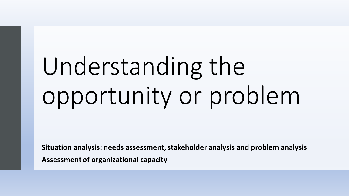# Understanding the opportunity or problem

**Situation analysis: needs assessment, stakeholder analysis and problem analysis Assessment of organizational capacity**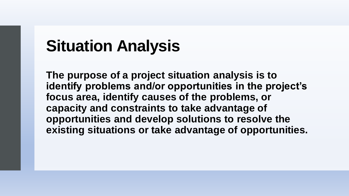# **Situation Analysis**

**The purpose of a project situation analysis is to identify problems and/or opportunities in the project's focus area, identify causes of the problems, or capacity and constraints to take advantage of opportunities and develop solutions to resolve the existing situations or take advantage of opportunities.**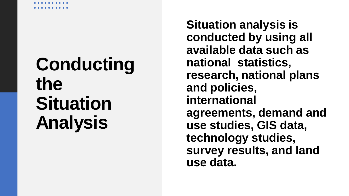**Situation analysis is conducted by using all available data such as national statistics, research, national plans and policies, international agreements, demand and use studies, GIS data, technology studies, survey results, and land use data.**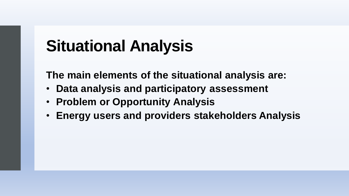# **Situational Analysis**

**The main elements of the situational analysis are:**

- **Data analysis and participatory assessment**
- **Problem or Opportunity Analysis**
- **Energy users and providers stakeholders Analysis**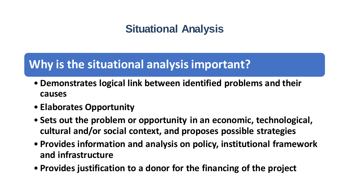#### **Situational Analysis**

#### **Why is the situational analysis important?**

- **Demonstrates logical link between identified problems and their causes**
- **Elaborates Opportunity**
- **Sets out the problem or opportunity in an economic, technological, cultural and/or social context, and proposes possible strategies**
- **Provides information and analysis on policy, institutional framework and infrastructure**
- **Provides justification to a donor for the financing of the project**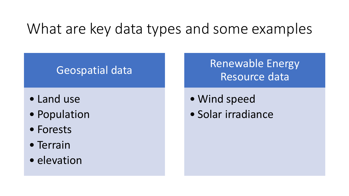### What are key data types and some examples

#### Geospatial data

- Land use
- Population
- Forests
- Terrain
- elevation

#### Renewable Energy Resource data

- Wind speed
- Solar irradiance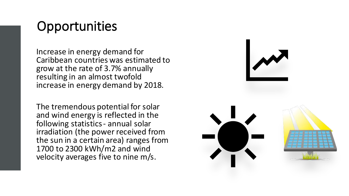#### **Opportunities**

Increase in energy demand for Caribbean countries was estimated to grow at the rate of 3.7% annually resulting in an almost twofold increase in energy demand by 2018.

The tremendous potential for solar and wind energy is reflected in the following statistics - annual solar irradiation (the power received from the sun in a certain area) ranges from 1700 to 2300 kWh/m2 and wind velocity averages five to nine m/s.

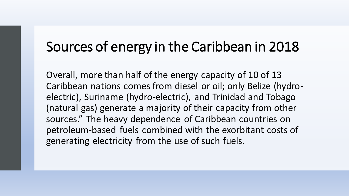#### Sources of energy in the Caribbean in 2018

Overall, more than half of the energy capacity of 10 of 13 Caribbean nations comes from diesel or oil; only Belize (hydroelectric), Suriname (hydro-electric), and Trinidad and Tobago (natural gas) generate a majority of their capacity from other sources." The heavy dependence of Caribbean countries on petroleum-based fuels combined with the exorbitant costs of generating electricity from the use of such fuels.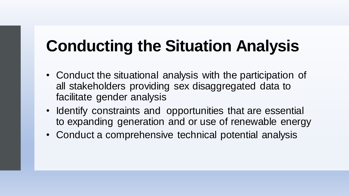- Conduct the situational analysis with the participation of all stakeholders providing sex disaggregated data to facilitate gender analysis
- Identify constraints and opportunities that are essential to expanding generation and or use of renewable energy
- Conduct a comprehensive technical potential analysis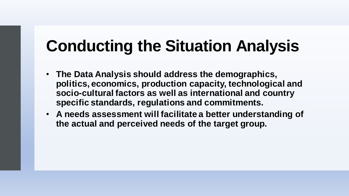- **The Data Analysis should address the demographics, politics, economics, production capacity, technological and socio-cultural factors as well as international and country specific standards, regulations and commitments.**
- **A needs assessment will facilitate a better understanding of the actual and perceived needs of the target group.**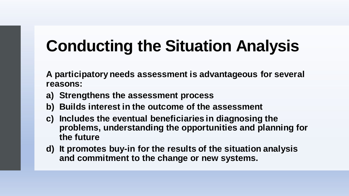**A participatory needs assessment is advantageous for several reasons:** 

- **a) Strengthens the assessment process**
- **b) Builds interest in the outcome of the assessment**
- **c) Includes the eventual beneficiaries in diagnosing the problems, understanding the opportunities and planning for the future**
- **d) It promotes buy-in for the results of the situation analysis and commitment to the change or new systems.**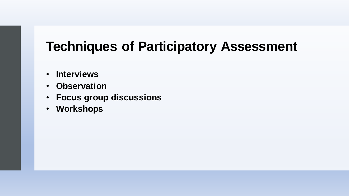#### **Techniques of Participatory Assessment**

- **Interviews**
- **Observation**
- **Focus group discussions**
- **Workshops**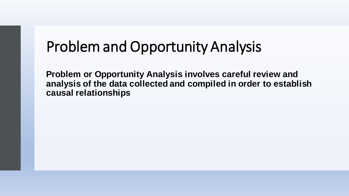### Problem and Opportunity Analysis

**Problem or Opportunity Analysis involves careful review and analysis of the data collected and compiled in order to establish causal relationships**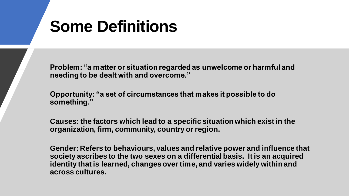# **Some Definitions**

**Problem: "a matter or situation regarded as unwelcome or harmful and needing to be dealt with and overcome."**

**Opportunity: "a set of circumstances that makes it possible to do something."**

**Causes: the factors which lead to a specific situation which exist in the organization, firm, community, country or region.**

**Gender: Refers to behaviours, values and relative power and influence that society ascribes to the two sexes on a differential basis. It is an acquired identity that is learned, changes over time, and varies widely within and across cultures.**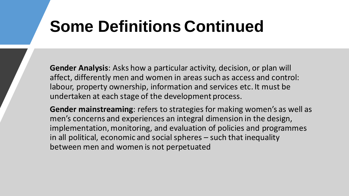# **Some Definitions Continued**

**Gender Analysis**: Asks how a particular activity, decision, or plan will affect, differently men and women in areas such as access and control: labour, property ownership, information and services etc. It must be undertaken at each stage of the development process.

**Gender mainstreaming**: refers to strategies for making women's as well as men's concerns and experiences an integral dimension in the design, implementation, monitoring, and evaluation of policies and programmes in all political, economic and social spheres – such that inequality between men and women is not perpetuated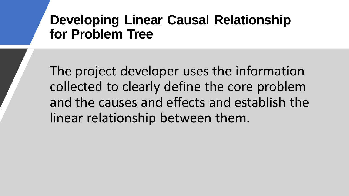#### **Developing Linear Causal Relationship for Problem Tree**

The project developer uses the information collected to clearly define the core problem and the causes and effects and establish the linear relationship between them.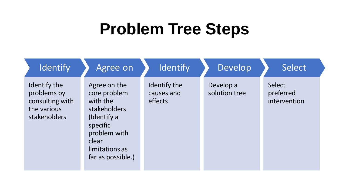## **Problem Tree Steps**

| <b>Identify</b>                                                               | Agree on                                                                                                                                            | <b>Identify</b>                       | Develop                    | Select                              |
|-------------------------------------------------------------------------------|-----------------------------------------------------------------------------------------------------------------------------------------------------|---------------------------------------|----------------------------|-------------------------------------|
| Identify the<br>problems by<br>consulting with<br>the various<br>stakeholders | Agree on the<br>core problem<br>with the<br>stakeholders<br>(Identify a<br>specific<br>problem with<br>clear<br>limitations as<br>far as possible.) | Identify the<br>causes and<br>effects | Develop a<br>solution tree | Select<br>preferred<br>intervention |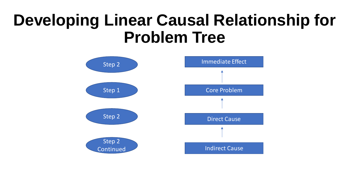## **Developing Linear Causal Relationship for Problem Tree**

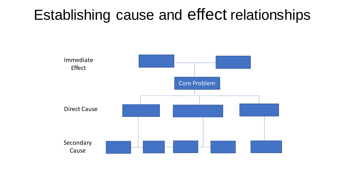### Establishing cause and effect relationships

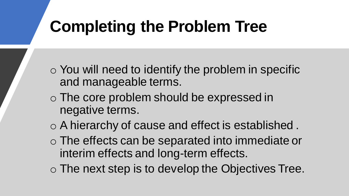# **Completing the Problem Tree**

- o You will need to identify the problem in specific and manageable terms.
- o The core problem should be expressed in negative terms.
- o A hierarchy of cause and effect is established .
- o The effects can be separated into immediate or interim effects and long-term effects.
- o The next step is to develop the Objectives Tree.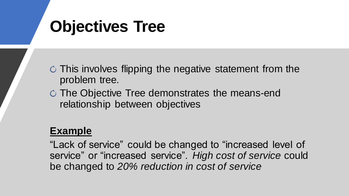# **Objectives Tree**

 $\circ$  This involves flipping the negative statement from the problem tree.

 $\circ$  The Objective Tree demonstrates the means-end relationship between objectives

#### **Example**

"Lack of service" could be changed to "increased level of service" or "increased service". *High cost of service* could be changed to *20% reduction in cost of service*